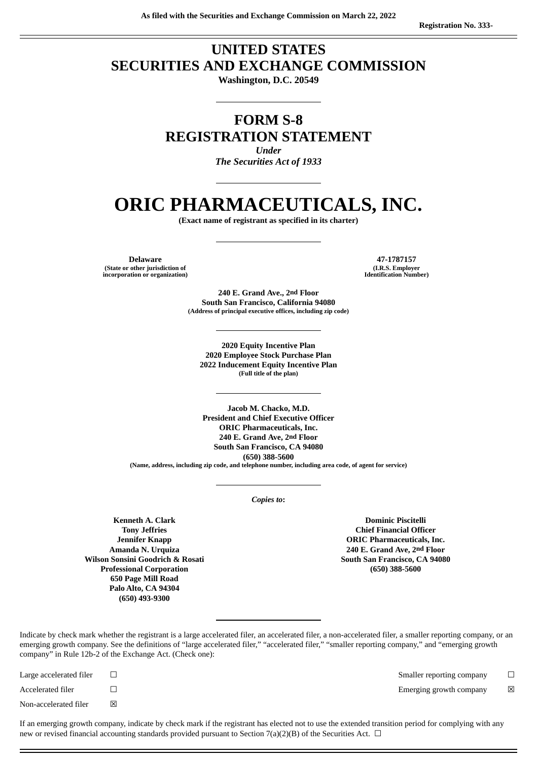# **UNITED STATES SECURITIES AND EXCHANGE COMMISSION**

**Washington, D.C. 20549**

# **FORM S-8 REGISTRATION STATEMENT**

*Under The Securities Act of 1933*

# **ORIC PHARMACEUTICALS, INC.**

**(Exact name of registrant as specified in its charter)**

**Delaware 47-1787157 (State or other jurisdiction of incorporation or organization)**

**(I.R.S. Employer Identification Number)**

**240 E. Grand Ave., 2nd Floor South San Francisco, California 94080 (Address of principal executive offices, including zip code)**

 **Equity Incentive Plan Employee Stock Purchase Plan Inducement Equity Incentive Plan (Full title of the plan)**

**Jacob M. Chacko, M.D. President and Chief Executive Officer ORIC Pharmaceuticals, Inc. 240 E. Grand Ave, 2nd Floor South San Francisco, CA 94080 (650) 388-5600**

**(Name, address, including zip code, and telephone number, including area code, of agent for service)**

*Copies to***:**

**Kenneth A. Clark Tony Jeffries Jennifer Knapp Amanda N. Urquiza Wilson Sonsini Goodrich & Rosati Professional Corporation 650 Page Mill Road Palo Alto, CA 94304 (650) 493-9300**

**Dominic Piscitelli Chief Financial Officer ORIC Pharmaceuticals, Inc. 240 E. Grand Ave, 2nd Floor South San Francisco, CA 94080 (650) 388-5600**

Indicate by check mark whether the registrant is a large accelerated filer, an accelerated filer, a non-accelerated filer, a smaller reporting company, or an emerging growth company. See the definitions of "large accelerated filer," "accelerated filer," "smaller reporting company," and "emerging growth company" in Rule 12b-2 of the Exchange Act. (Check one):

| Large accelerated filer |              |  |
|-------------------------|--------------|--|
| Accelerated filer       | $\mathbf{1}$ |  |
| Non-accelerated filer   | ⊠            |  |

Smaller reporting company  $\Box$ 

Emerging growth company  $\boxtimes$ 

If an emerging growth company, indicate by check mark if the registrant has elected not to use the extended transition period for complying with any new or revised financial accounting standards provided pursuant to Section 7(a)(2)(B) of the Securities Act.  $\Box$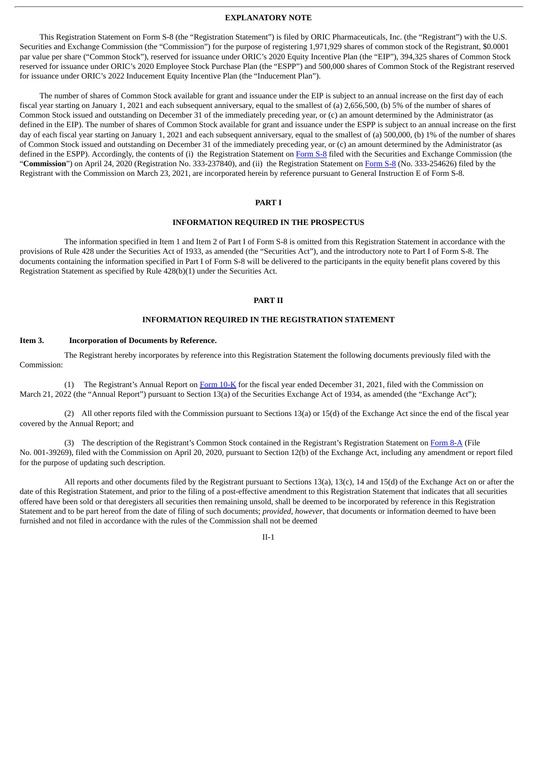#### **EXPLANATORY NOTE**

This Registration Statement on Form S-8 (the "Registration Statement") is filed by ORIC Pharmaceuticals, Inc. (the "Registrant") with the U.S. Securities and Exchange Commission (the "Commission") for the purpose of registering 1,971,929 shares of common stock of the Registrant, \$0.0001 par value per share ("Common Stock"), reserved for issuance under ORIC's 2020 Equity Incentive Plan (the "EIP"), 394,325 shares of Common Stock reserved for issuance under ORIC's 2020 Employee Stock Purchase Plan (the "ESPP") and 500,000 shares of Common Stock of the Registrant reserved for issuance under ORIC's 2022 Inducement Equity Incentive Plan (the "Inducement Plan").

The number of shares of Common Stock available for grant and issuance under the EIP is subject to an annual increase on the first day of each fiscal year starting on January 1, 2021 and each subsequent anniversary, equal to the smallest of (a) 2,656,500, (b) 5% of the number of shares of Common Stock issued and outstanding on December 31 of the immediately preceding year, or (c) an amount determined by the Administrator (as defined in the EIP). The number of shares of Common Stock available for grant and issuance under the ESPP is subject to an annual increase on the first day of each fiscal year starting on January 1, 2021 and each subsequent anniversary, equal to the smallest of (a) 500,000, (b) 1% of the number of shares of Common Stock issued and outstanding on December 31 of the immediately preceding year, or (c) an amount determined by the Administrator (as defined in the ESPP). Accordingly, the contents of (i) the Registration Statement on [Form](http://www.sec.gov/Archives/edgar/data/1796280/000119312520119249/d919005ds8.htm) S-8 filed with the Securities and Exchange Commission (the "**Commission**") on April 24, 2020 (Registration No. 333-237840), and (ii) the Registration Statement on [Form](http://www.sec.gov/Archives/edgar/data/1796280/000119312521091284/d107557ds8.htm) S-8 (No. 333-254626) filed by the Registrant with the Commission on March 23, 2021, are incorporated herein by reference pursuant to General Instruction E of Form S-8.

#### **PART I**

#### **INFORMATION REQUIRED IN THE PROSPECTUS**

The information specified in Item 1 and Item 2 of Part I of Form S-8 is omitted from this Registration Statement in accordance with the provisions of Rule 428 under the Securities Act of 1933, as amended (the "Securities Act"), and the introductory note to Part I of Form S-8. The documents containing the information specified in Part I of Form S-8 will be delivered to the participants in the equity benefit plans covered by this Registration Statement as specified by Rule 428(b)(1) under the Securities Act.

#### **PART II**

# **INFORMATION REQUIRED IN THE REGISTRATION STATEMENT**

#### **Item 3. Incorporation of Documents by Reference.**

The Registrant hereby incorporates by reference into this Registration Statement the following documents previously filed with the Commission:

(1) The Registrant's Annual Report on [Form](http://www.sec.gov/ix?doc=/Archives/edgar/data/1796280/000095017022004239/oric-20211231.htm) 10-K for the fiscal year ended December 31, 2021, filed with the Commission on March 21, 2022 (the "Annual Report") pursuant to Section 13(a) of the Securities Exchange Act of 1934, as amended (the "Exchange Act");

(2) All other reports filed with the Commission pursuant to Sections 13(a) or 15(d) of the Exchange Act since the end of the fiscal year covered by the Annual Report; and

(3) The description of the Registrant's Common Stock contained in the Registrant's Registration Statement on [Form](http://www.sec.gov/Archives/edgar/data/1796280/000119312520112233/d859615d8a12b.htm) 8-A (File No. 001-39269), filed with the Commission on April 20, 2020, pursuant to Section 12(b) of the Exchange Act, including any amendment or report filed for the purpose of updating such description.

All reports and other documents filed by the Registrant pursuant to Sections 13(a), 13(c), 14 and 15(d) of the Exchange Act on or after the date of this Registration Statement, and prior to the filing of a post-effective amendment to this Registration Statement that indicates that all securities offered have been sold or that deregisters all securities then remaining unsold, shall be deemed to be incorporated by reference in this Registration Statement and to be part hereof from the date of filing of such documents; *provided*, *however*, that documents or information deemed to have been furnished and not filed in accordance with the rules of the Commission shall not be deemed

II-1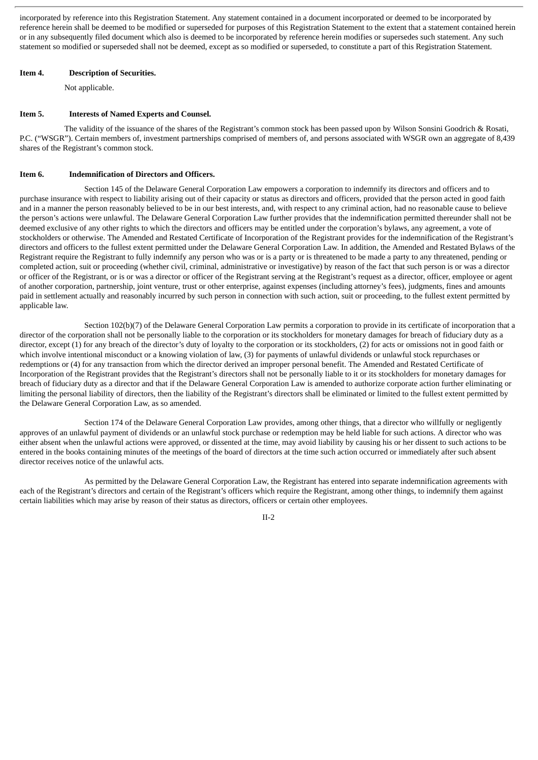incorporated by reference into this Registration Statement. Any statement contained in a document incorporated or deemed to be incorporated by reference herein shall be deemed to be modified or superseded for purposes of this Registration Statement to the extent that a statement contained herein or in any subsequently filed document which also is deemed to be incorporated by reference herein modifies or supersedes such statement. Any such statement so modified or superseded shall not be deemed, except as so modified or superseded, to constitute a part of this Registration Statement.

# **Item 4. Description of Securities.**

Not applicable.

#### **Item 5. Interests of Named Experts and Counsel.**

The validity of the issuance of the shares of the Registrant's common stock has been passed upon by Wilson Sonsini Goodrich & Rosati, P.C. ("WSGR"). Certain members of, investment partnerships comprised of members of, and persons associated with WSGR own an aggregate of 8,439 shares of the Registrant's common stock.

#### **Item 6. Indemnification of Directors and Officers.**

Section 145 of the Delaware General Corporation Law empowers a corporation to indemnify its directors and officers and to purchase insurance with respect to liability arising out of their capacity or status as directors and officers, provided that the person acted in good faith and in a manner the person reasonably believed to be in our best interests, and, with respect to any criminal action, had no reasonable cause to believe the person's actions were unlawful. The Delaware General Corporation Law further provides that the indemnification permitted thereunder shall not be deemed exclusive of any other rights to which the directors and officers may be entitled under the corporation's bylaws, any agreement, a vote of stockholders or otherwise. The Amended and Restated Certificate of Incorporation of the Registrant provides for the indemnification of the Registrant's directors and officers to the fullest extent permitted under the Delaware General Corporation Law. In addition, the Amended and Restated Bylaws of the Registrant require the Registrant to fully indemnify any person who was or is a party or is threatened to be made a party to any threatened, pending or completed action, suit or proceeding (whether civil, criminal, administrative or investigative) by reason of the fact that such person is or was a director or officer of the Registrant, or is or was a director or officer of the Registrant serving at the Registrant's request as a director, officer, employee or agent of another corporation, partnership, joint venture, trust or other enterprise, against expenses (including attorney's fees), judgments, fines and amounts paid in settlement actually and reasonably incurred by such person in connection with such action, suit or proceeding, to the fullest extent permitted by applicable law.

Section 102(b)(7) of the Delaware General Corporation Law permits a corporation to provide in its certificate of incorporation that a director of the corporation shall not be personally liable to the corporation or its stockholders for monetary damages for breach of fiduciary duty as a director, except (1) for any breach of the director's duty of loyalty to the corporation or its stockholders, (2) for acts or omissions not in good faith or which involve intentional misconduct or a knowing violation of law, (3) for payments of unlawful dividends or unlawful stock repurchases or redemptions or (4) for any transaction from which the director derived an improper personal benefit. The Amended and Restated Certificate of Incorporation of the Registrant provides that the Registrant's directors shall not be personally liable to it or its stockholders for monetary damages for breach of fiduciary duty as a director and that if the Delaware General Corporation Law is amended to authorize corporate action further eliminating or limiting the personal liability of directors, then the liability of the Registrant's directors shall be eliminated or limited to the fullest extent permitted by the Delaware General Corporation Law, as so amended.

Section 174 of the Delaware General Corporation Law provides, among other things, that a director who willfully or negligently approves of an unlawful payment of dividends or an unlawful stock purchase or redemption may be held liable for such actions. A director who was either absent when the unlawful actions were approved, or dissented at the time, may avoid liability by causing his or her dissent to such actions to be entered in the books containing minutes of the meetings of the board of directors at the time such action occurred or immediately after such absent director receives notice of the unlawful acts.

As permitted by the Delaware General Corporation Law, the Registrant has entered into separate indemnification agreements with each of the Registrant's directors and certain of the Registrant's officers which require the Registrant, among other things, to indemnify them against certain liabilities which may arise by reason of their status as directors, officers or certain other employees.

 $II-2$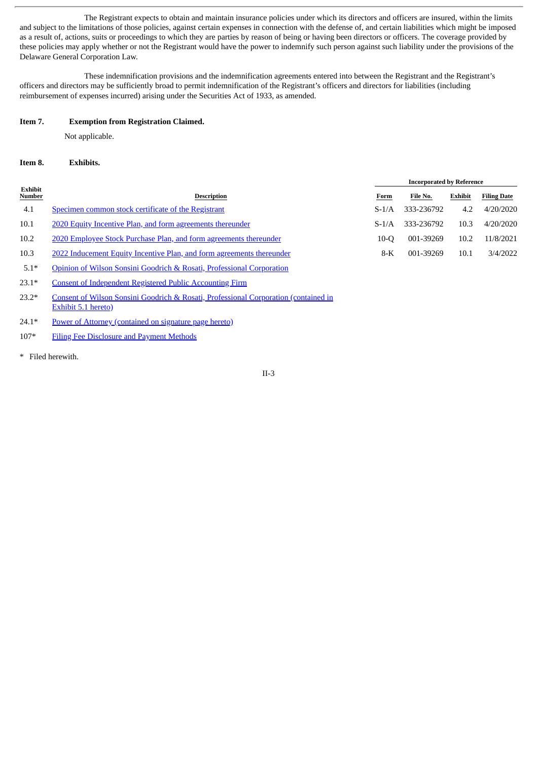The Registrant expects to obtain and maintain insurance policies under which its directors and officers are insured, within the limits and subject to the limitations of those policies, against certain expenses in connection with the defense of, and certain liabilities which might be imposed as a result of, actions, suits or proceedings to which they are parties by reason of being or having been directors or officers. The coverage provided by these policies may apply whether or not the Registrant would have the power to indemnify such person against such liability under the provisions of the Delaware General Corporation Law.

These indemnification provisions and the indemnification agreements entered into between the Registrant and the Registrant's officers and directors may be sufficiently broad to permit indemnification of the Registrant's officers and directors for liabilities (including reimbursement of expenses incurred) arising under the Securities Act of 1933, as amended.

## **Item 7. Exemption from Registration Claimed.**

Not applicable.

## **Item 8. Exhibits.**

|                   |                                                                       | <b>Incorporated by Reference</b> |            |         |                    |
|-------------------|-----------------------------------------------------------------------|----------------------------------|------------|---------|--------------------|
| Exhibit<br>Number | <b>Description</b>                                                    | Form                             | File No.   | Exhibit | <b>Filing Date</b> |
| 4.1               | Specimen common stock certificate of the Registrant                   | $S-1/A$                          | 333-236792 | 4.2     | 4/20/2020          |
| 10.1              | 2020 Equity Incentive Plan, and form agreements thereunder            | $S-1/A$                          | 333-236792 | 10.3    | 4/20/2020          |
| 10.2              | 2020 Employee Stock Purchase Plan, and form agreements thereunder     | $10-°$                           | 001-39269  | 10.2    | 11/8/2021          |
| 10.3              | 2022 Inducement Equity Incentive Plan, and form agreements thereunder | $8-K$                            | 001-39269  | 10.1    | 3/4/2022           |
| $5.1*$            | Opinion of Wilson Sonsini Goodrich & Rosati, Professional Corporation |                                  |            |         |                    |
| $23.1*$           | <b>Consent of Independent Registered Public Accounting Firm</b>       |                                  |            |         |                    |

23.2\* Consent of Wilson Sonsini Goodrich & Rosati, [Professional](#page-6-0) Corporation (contained in Exhibit 5.1 hereto)

24.1\* Power of Attorney [\(contained](#page-5-0) on signature page hereto)

107\* Filing Fee [Disclosure](#page-8-0) and Payment Methods

\* Filed herewith.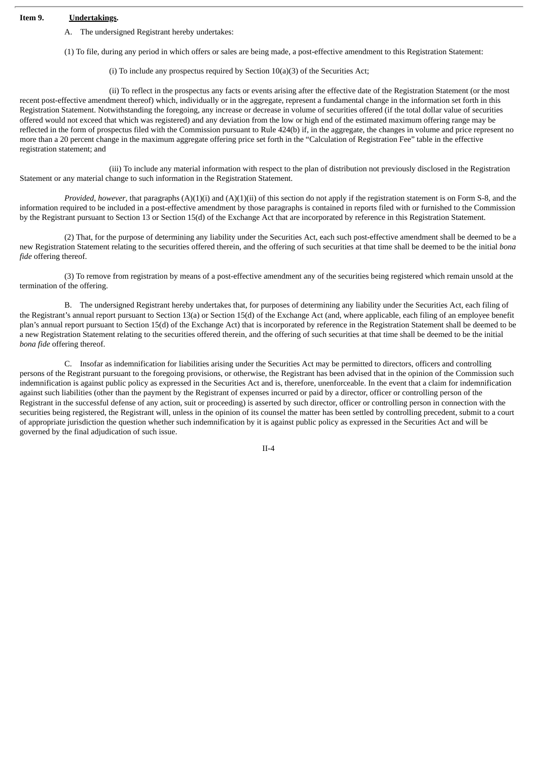# **Item 9. Undertakings.**

A. The undersigned Registrant hereby undertakes:

(1) To file, during any period in which offers or sales are being made, a post-effective amendment to this Registration Statement:

(i) To include any prospectus required by Section 10(a)(3) of the Securities Act;

(ii) To reflect in the prospectus any facts or events arising after the effective date of the Registration Statement (or the most recent post-effective amendment thereof) which, individually or in the aggregate, represent a fundamental change in the information set forth in this Registration Statement. Notwithstanding the foregoing, any increase or decrease in volume of securities offered (if the total dollar value of securities offered would not exceed that which was registered) and any deviation from the low or high end of the estimated maximum offering range may be reflected in the form of prospectus filed with the Commission pursuant to Rule 424(b) if, in the aggregate, the changes in volume and price represent no more than a 20 percent change in the maximum aggregate offering price set forth in the "Calculation of Registration Fee" table in the effective registration statement; and

(iii) To include any material information with respect to the plan of distribution not previously disclosed in the Registration Statement or any material change to such information in the Registration Statement.

*Provided, however*, that paragraphs (A)(1)(i) and (A)(1)(ii) of this section do not apply if the registration statement is on Form S-8, and the information required to be included in a post-effective amendment by those paragraphs is contained in reports filed with or furnished to the Commission by the Registrant pursuant to Section 13 or Section 15(d) of the Exchange Act that are incorporated by reference in this Registration Statement.

(2) That, for the purpose of determining any liability under the Securities Act, each such post-effective amendment shall be deemed to be a new Registration Statement relating to the securities offered therein, and the offering of such securities at that time shall be deemed to be the initial *bona fide* offering thereof.

(3) To remove from registration by means of a post-effective amendment any of the securities being registered which remain unsold at the termination of the offering.

B. The undersigned Registrant hereby undertakes that, for purposes of determining any liability under the Securities Act, each filing of the Registrant's annual report pursuant to Section 13(a) or Section 15(d) of the Exchange Act (and, where applicable, each filing of an employee benefit plan's annual report pursuant to Section 15(d) of the Exchange Act) that is incorporated by reference in the Registration Statement shall be deemed to be a new Registration Statement relating to the securities offered therein, and the offering of such securities at that time shall be deemed to be the initial *bona fide* offering thereof.

C. Insofar as indemnification for liabilities arising under the Securities Act may be permitted to directors, officers and controlling persons of the Registrant pursuant to the foregoing provisions, or otherwise, the Registrant has been advised that in the opinion of the Commission such indemnification is against public policy as expressed in the Securities Act and is, therefore, unenforceable. In the event that a claim for indemnification against such liabilities (other than the payment by the Registrant of expenses incurred or paid by a director, officer or controlling person of the Registrant in the successful defense of any action, suit or proceeding) is asserted by such director, officer or controlling person in connection with the securities being registered, the Registrant will, unless in the opinion of its counsel the matter has been settled by controlling precedent, submit to a court of appropriate jurisdiction the question whether such indemnification by it is against public policy as expressed in the Securities Act and will be governed by the final adjudication of such issue.

II-4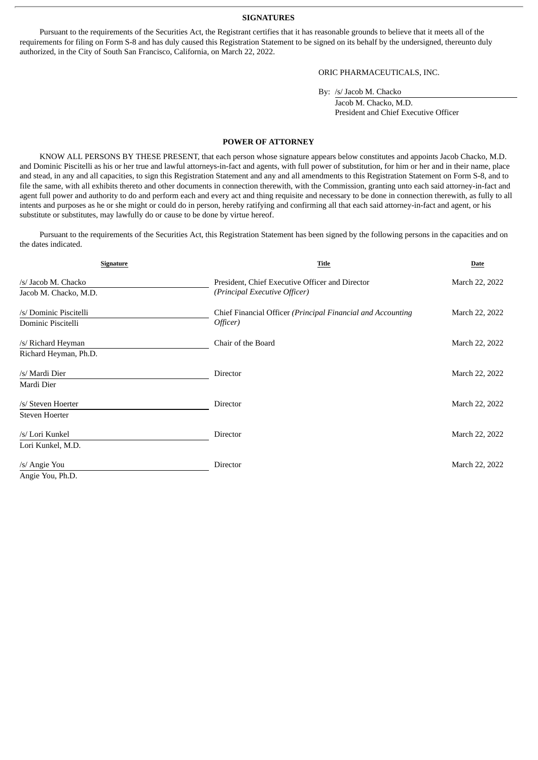**SIGNATURES**

Pursuant to the requirements of the Securities Act, the Registrant certifies that it has reasonable grounds to believe that it meets all of the requirements for filing on Form S-8 and has duly caused this Registration Statement to be signed on its behalf by the undersigned, thereunto duly authorized, in the City of South San Francisco, California, on March 22, 2022.

ORIC PHARMACEUTICALS, INC.

By: /s/ Jacob M. Chacko

Jacob M. Chacko, M.D. President and Chief Executive Officer

#### **POWER OF ATTORNEY**

<span id="page-5-0"></span>KNOW ALL PERSONS BY THESE PRESENT, that each person whose signature appears below constitutes and appoints Jacob Chacko, M.D. and Dominic Piscitelli as his or her true and lawful attorneys-in-fact and agents, with full power of substitution, for him or her and in their name, place and stead, in any and all capacities, to sign this Registration Statement and any and all amendments to this Registration Statement on Form S-8, and to file the same, with all exhibits thereto and other documents in connection therewith, with the Commission, granting unto each said attorney-in-fact and agent full power and authority to do and perform each and every act and thing requisite and necessary to be done in connection therewith, as fully to all intents and purposes as he or she might or could do in person, hereby ratifying and confirming all that each said attorney-in-fact and agent, or his substitute or substitutes, may lawfully do or cause to be done by virtue hereof.

Pursuant to the requirements of the Securities Act, this Registration Statement has been signed by the following persons in the capacities and on the dates indicated.

| Signature              | <b>Title</b>                                                | Date           |
|------------------------|-------------------------------------------------------------|----------------|
| /s/ Jacob M. Chacko    | President, Chief Executive Officer and Director             | March 22, 2022 |
| Jacob M. Chacko, M.D.  | (Principal Executive Officer)                               |                |
| /s/ Dominic Piscitelli | Chief Financial Officer (Principal Financial and Accounting | March 22, 2022 |
| Dominic Piscitelli     | Officer)                                                    |                |
| /s/ Richard Heyman     | Chair of the Board                                          | March 22, 2022 |
| Richard Heyman, Ph.D.  |                                                             |                |
| /s/ Mardi Dier         | Director                                                    | March 22, 2022 |
| Mardi Dier             |                                                             |                |
| /s/ Steven Hoerter     | Director                                                    | March 22, 2022 |
| <b>Steven Hoerter</b>  |                                                             |                |
| /s/ Lori Kunkel        | Director                                                    | March 22, 2022 |
| Lori Kunkel, M.D.      |                                                             |                |
| /s/ Angie You          | Director                                                    | March 22, 2022 |
| Angie You, Ph.D.       |                                                             |                |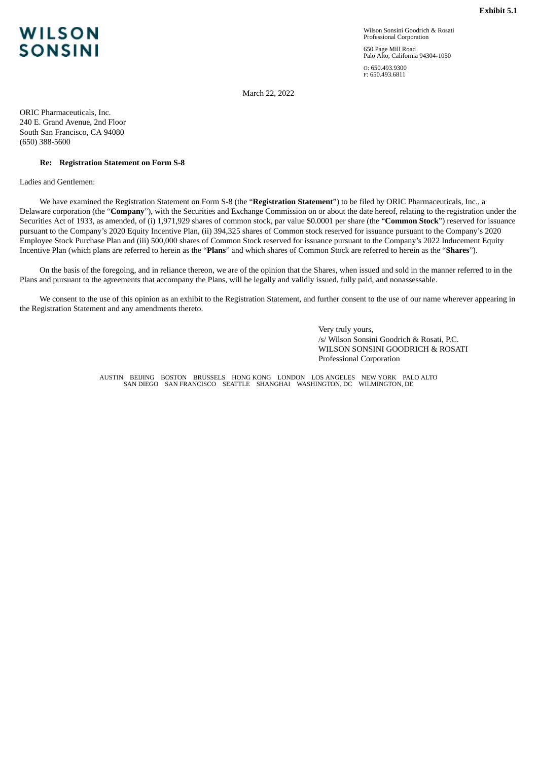<span id="page-6-0"></span>

Wilson Sonsini Goodrich & Rosati Professional Corporation

650 Page Mill Road Palo Alto, California 94304-1050 O: 650.493.9300 F: 650.493.6811

March 22, 2022

ORIC Pharmaceuticals, Inc. 240 E. Grand Avenue, 2nd Floor South San Francisco, CA 94080 (650) 388-5600

#### **Re: Registration Statement on Form S-8**

Ladies and Gentlemen:

We have examined the Registration Statement on Form S-8 (the "**Registration Statement**") to be filed by ORIC Pharmaceuticals, Inc., a Delaware corporation (the "**Company**"), with the Securities and Exchange Commission on or about the date hereof, relating to the registration under the Securities Act of 1933, as amended, of (i) 1,971,929 shares of common stock, par value \$0.0001 per share (the "**Common Stock**") reserved for issuance pursuant to the Company's 2020 Equity Incentive Plan, (ii) 394,325 shares of Common stock reserved for issuance pursuant to the Company's 2020 Employee Stock Purchase Plan and (iii) 500,000 shares of Common Stock reserved for issuance pursuant to the Company's 2022 Inducement Equity Incentive Plan (which plans are referred to herein as the "**Plans**" and which shares of Common Stock are referred to herein as the "**Shares**").

On the basis of the foregoing, and in reliance thereon, we are of the opinion that the Shares, when issued and sold in the manner referred to in the Plans and pursuant to the agreements that accompany the Plans, will be legally and validly issued, fully paid, and nonassessable.

We consent to the use of this opinion as an exhibit to the Registration Statement, and further consent to the use of our name wherever appearing in the Registration Statement and any amendments thereto.

> Very truly yours, /s/ Wilson Sonsini Goodrich & Rosati, P.C. WILSON SONSINI GOODRICH & ROSATI Professional Corporation

AUSTIN BEIJING BOSTON BRUSSELS HONG KONG LONDON LOS ANGELES NEW YORK PALO ALTO SAN DIEGO SAN FRANCISCO SEATTLE SHANGHAI WASHINGTON, DC WILMINGTON, DE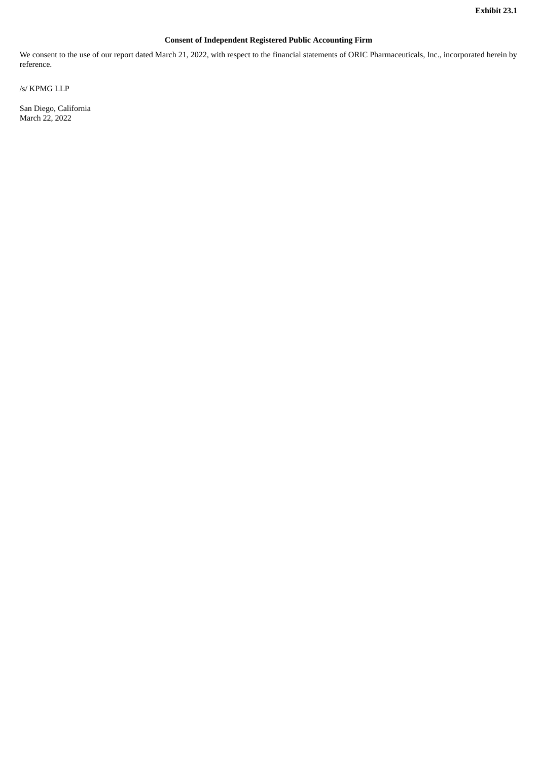# **Consent of Independent Registered Public Accounting Firm**

<span id="page-7-0"></span>We consent to the use of our report dated March 21, 2022, with respect to the financial statements of ORIC Pharmaceuticals, Inc., incorporated herein by reference.

/s/ KPMG LLP

San Diego, California March 22, 2022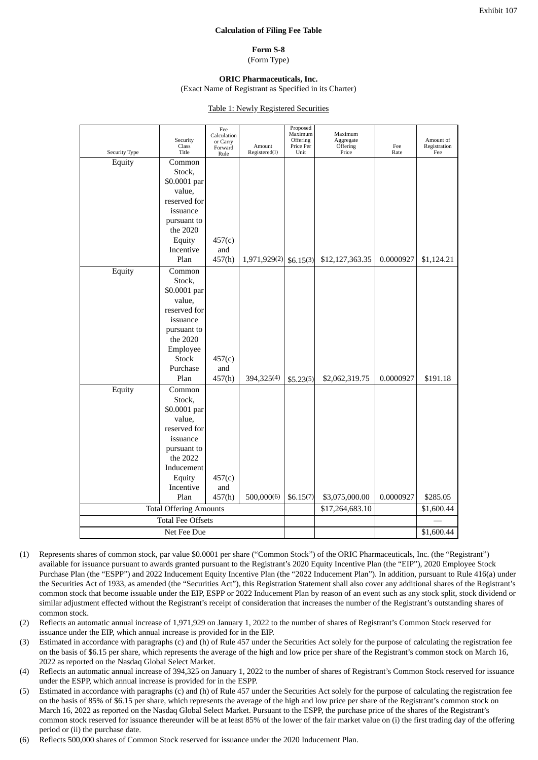## **Calculation of Filing Fee Table**

**Form S-8** (Form Type)

**ORIC Pharmaceuticals, Inc.** (Exact Name of Registrant as Specified in its Charter)

#### Table 1: Newly Registered Securities

<span id="page-8-0"></span>

| Security Type                 | Security<br>Class<br>Title                                                                                                                        | Fee<br>Calculation<br>or Carry<br>Forward<br>Rule | Amount<br>Registered(1) | Proposed<br>Maximum<br>Offering<br>Price Per<br>Unit | Maximum<br>Aggregate<br>Offering<br>Price | Fee<br>Rate | Amount of<br>Registration<br>Fee |
|-------------------------------|---------------------------------------------------------------------------------------------------------------------------------------------------|---------------------------------------------------|-------------------------|------------------------------------------------------|-------------------------------------------|-------------|----------------------------------|
| Equity                        | Common<br>Stock,<br>\$0.0001 par<br>value,<br>reserved for                                                                                        |                                                   |                         |                                                      |                                           |             |                                  |
|                               | issuance<br>pursuant to<br>the 2020<br>Equity<br>Incentive                                                                                        | 457(c)<br>and                                     |                         |                                                      |                                           |             |                                  |
|                               | Plan                                                                                                                                              | 457(h)                                            | 1,971,929(2)            | \$6.15(3)                                            | \$12,127,363.35                           | 0.0000927   | \$1,124.21                       |
| Equity                        | Common<br>Stock,<br>\$0.0001 par<br>value,<br>reserved for<br>issuance<br>pursuant to<br>the 2020<br>Employee<br><b>Stock</b><br>Purchase<br>Plan | 457(c)<br>and<br>457(h)                           | 394,325(4)              | \$5.23(5)                                            | \$2,062,319.75                            | 0.0000927   | \$191.18                         |
| Equity                        | Common<br>Stock,<br>\$0.0001 par<br>value,<br>reserved for<br>issuance<br>pursuant to<br>the 2022<br>Inducement<br>Equity<br>Incentive<br>Plan    | 457(c)<br>and<br>457(h)                           | 500,000(6)              | \$6.15(7)                                            | \$3,075,000.00                            | 0.0000927   | \$285.05                         |
| <b>Total Offering Amounts</b> |                                                                                                                                                   |                                                   |                         | \$17,264,683.10                                      |                                           | \$1,600.44  |                                  |
| <b>Total Fee Offsets</b>      |                                                                                                                                                   |                                                   |                         |                                                      |                                           |             |                                  |
| Net Fee Due                   |                                                                                                                                                   |                                                   |                         |                                                      |                                           | \$1,600.44  |                                  |

- (1) Represents shares of common stock, par value \$0.0001 per share ("Common Stock") of the ORIC Pharmaceuticals, Inc. (the "Registrant") available for issuance pursuant to awards granted pursuant to the Registrant's 2020 Equity Incentive Plan (the "EIP"), 2020 Employee Stock Purchase Plan (the "ESPP") and 2022 Inducement Equity Incentive Plan (the "2022 Inducement Plan"). In addition, pursuant to Rule 416(a) under the Securities Act of 1933, as amended (the "Securities Act"), this Registration Statement shall also cover any additional shares of the Registrant's common stock that become issuable under the EIP, ESPP or 2022 Inducement Plan by reason of an event such as any stock split, stock dividend or similar adjustment effected without the Registrant's receipt of consideration that increases the number of the Registrant's outstanding shares of common stock.
- (2) Reflects an automatic annual increase of 1,971,929 on January 1, 2022 to the number of shares of Registrant's Common Stock reserved for issuance under the EIP, which annual increase is provided for in the EIP.
- (3) Estimated in accordance with paragraphs (c) and (h) of Rule 457 under the Securities Act solely for the purpose of calculating the registration fee on the basis of \$6.15 per share, which represents the average of the high and low price per share of the Registrant's common stock on March 16, 2022 as reported on the Nasdaq Global Select Market.
- (4) Reflects an automatic annual increase of 394,325 on January 1, 2022 to the number of shares of Registrant's Common Stock reserved for issuance under the ESPP, which annual increase is provided for in the ESPP.
- (5) Estimated in accordance with paragraphs (c) and (h) of Rule 457 under the Securities Act solely for the purpose of calculating the registration fee on the basis of 85% of \$6.15 per share, which represents the average of the high and low price per share of the Registrant's common stock on March 16, 2022 as reported on the Nasdaq Global Select Market. Pursuant to the ESPP, the purchase price of the shares of the Registrant's common stock reserved for issuance thereunder will be at least 85% of the lower of the fair market value on (i) the first trading day of the offering period or (ii) the purchase date.
- (6) Reflects 500,000 shares of Common Stock reserved for issuance under the 2020 Inducement Plan.